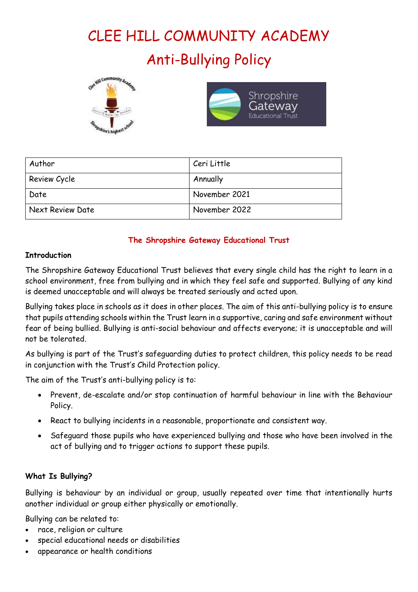# CLEE HILL COMMUNITY ACADEMY Anti-Bullying Policy





| Author           | Ceri Little   |
|------------------|---------------|
| Review Cycle     | Annually      |
| Date             | November 2021 |
| Next Review Date | November 2022 |

# **The Shropshire Gateway Educational Trust**

#### **Introduction**

The Shropshire Gateway Educational Trust believes that every single child has the right to learn in a school environment, free from bullying and in which they feel safe and supported. Bullying of any kind is deemed unacceptable and will always be treated seriously and acted upon.

Bullying takes place in schools as it does in other places. The aim of this anti-bullying policy is to ensure that pupils attending schools within the Trust learn in a supportive, caring and safe environment without fear of being bullied. Bullying is anti-social behaviour and affects everyone; it is unacceptable and will not be tolerated.

As bullying is part of the Trust's safeguarding duties to protect children, this policy needs to be read in conjunction with the Trust's Child Protection policy.

The aim of the Trust's anti-bullying policy is to:

- Prevent, de-escalate and/or stop continuation of harmful behaviour in line with the Behaviour Policy.
- React to bullying incidents in a reasonable, proportionate and consistent way.
- Safeguard those pupils who have experienced bullying and those who have been involved in the act of bullying and to trigger actions to support these pupils.

# **What Is Bullying?**

Bullying is behaviour by an individual or group, usually repeated over time that intentionally hurts another individual or group either physically or emotionally.

Bullying can be related to:

- race, religion or culture
- special educational needs or disabilities
- appearance or health conditions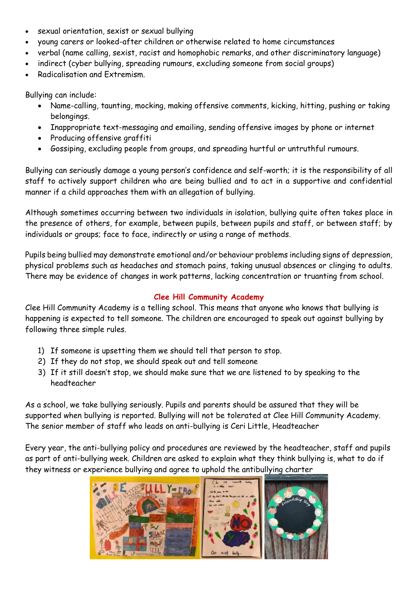- sexual orientation, sexist or sexual bullying
- young carers or looked-after children or otherwise related to home circumstances
- verbal (name calling, sexist, racist and homophobic remarks, and other discriminatory language)
- indirect (cyber bullying, spreading rumours, excluding someone from social groups)
- Radicalisation and Extremism.

Bullying can include:

- Name-calling, taunting, mocking, making offensive comments, kicking, hitting, pushing or taking belongings.
- Inappropriate text-messaging and emailing, sending offensive images by phone or internet
- Producing offensive graffiti
- Gossiping, excluding people from groups, and spreading hurtful or untruthful rumours.

Bullying can seriously damage a young person's confidence and self-worth; it is the responsibility of all staff to actively support children who are being bullied and to act in a supportive and confidential manner if a child approaches them with an allegation of bullying.

Although sometimes occurring between two individuals in isolation, bullying quite often takes place in the presence of others, for example, between pupils, between pupils and staff, or between staff; by individuals or groups; face to face, indirectly or using a range of methods.

Pupils being bullied may demonstrate emotional and/or behaviour problems including signs of depression, physical problems such as headaches and stomach pains, taking unusual absences or clinging to adults. There may be evidence of changes in work patterns, lacking concentration or truanting from school.

### **Clee Hill Community Academy**

Clee Hill Community Academy is a telling school. This means that anyone who knows that bullying is happening is expected to tell someone. The children are encouraged to speak out against bullying by following three simple rules.

- 1) If someone is upsetting them we should tell that person to stop.
- 2) If they do not stop, we should speak out and tell someone
- 3) If it still doesn't stop, we should make sure that we are listened to by speaking to the headteacher

As a school, we take bullying seriously. Pupils and parents should be assured that they will be supported when bullying is reported. Bullying will not be tolerated at Clee Hill Community Academy. The senior member of staff who leads on anti-bullying is Ceri Little, Headteacher

Every year, the anti-bullying policy and procedures are reviewed by the headteacher, staff and pupils as part of anti-bullying week. Children are asked to explain what they think bullying is, what to do if they witness or experience bullying and agree to uphold the antibullying charter

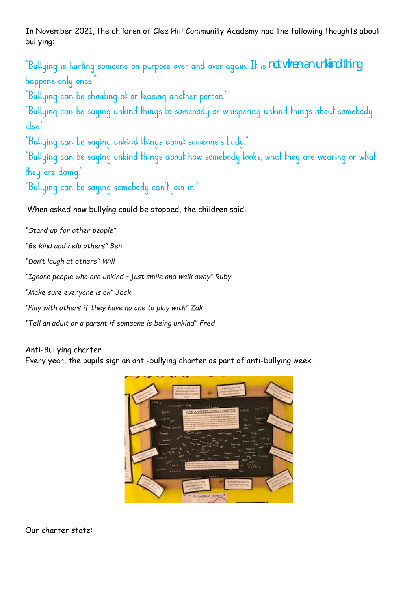In November 2021, the children of Clee Hill Community Academy had the following thoughts about bullying:

"Bullying is hurking someone on purpose over and over aqain. It is not when an unkind thing happens only once.

"Bullying can be shouting at or teasing another person."

"Bullying can be saying unkind things to somebody or whispering unkind things about somebody else

"Bullying can be saying unkind things about someone's body."

"Bullying can be saying unkind things about how somebody looks, what they are wearing or what they are doing."

"Bullying can be saying somebody can't join in."

When asked how bullying could be stopped, the children said:

*"Stand up for other people" "Be kind and help others" Ben*

*"Don't laugh at others" Will*

*"Ignore people who are unkind – just smile and walk away" Ruby*

*"Make sure everyone is ok" Jack*

*"Play with others if they have no one to play with" Zak*

*"Tell an adult or a parent if someone is being unkind" Fred*

# Anti-Bullying charter

Every year, the pupils sign an anti-bullying charter as part of anti-bullying week.



Our charter state: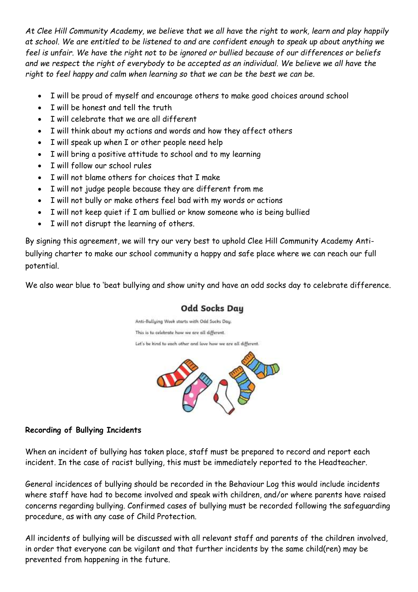*At Clee Hill Community Academy, we believe that we all have the right to work, learn and play happily at school. We are entitled to be listened to and are confident enough to speak up about anything we feel is unfair. We have the right not to be ignored or bullied because of our differences or beliefs and we respect the right of everybody to be accepted as an individual. We believe we all have the right to feel happy and calm when learning so that we can be the best we can be.*

- I will be proud of myself and encourage others to make good choices around school
- I will be honest and tell the truth
- I will celebrate that we are all different
- I will think about my actions and words and how they affect others
- I will speak up when I or other people need help
- I will bring a positive attitude to school and to my learning
- I will follow our school rules
- I will not blame others for choices that I make
- I will not judge people because they are different from me
- I will not bully or make others feel bad with my words or actions
- I will not keep quiet if I am bullied or know someone who is being bullied
- I will not disrupt the learning of others.

By signing this agreement, we will try our very best to uphold Clee Hill Community Academy Antibullying charter to make our school community a happy and safe place where we can reach our full potential.

We also wear blue to 'beat bullying and show unity and have an odd socks day to celebrate difference.

# **Odd Socks Day**

Anti-Bullying Week starts with Odd Socks Day. This is to celebrate how we are all different. Let's be kind to each other and love how we are all different.



# **Recording of Bullying Incidents**

When an incident of bullying has taken place, staff must be prepared to record and report each incident. In the case of racist bullying, this must be immediately reported to the Headteacher.

General incidences of bullying should be recorded in the Behaviour Log this would include incidents where staff have had to become involved and speak with children, and/or where parents have raised concerns regarding bullying. Confirmed cases of bullying must be recorded following the safeguarding procedure, as with any case of Child Protection.

All incidents of bullying will be discussed with all relevant staff and parents of the children involved, in order that everyone can be vigilant and that further incidents by the same child(ren) may be prevented from happening in the future.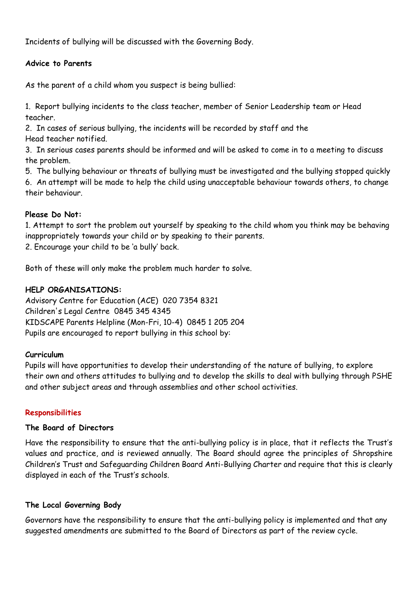Incidents of bullying will be discussed with the Governing Body.

#### **Advice to Parents**

As the parent of a child whom you suspect is being bullied:

1. Report bullying incidents to the class teacher, member of Senior Leadership team or Head teacher.

2. In cases of serious bullying, the incidents will be recorded by staff and the Head teacher notified.

3. In serious cases parents should be informed and will be asked to come in to a meeting to discuss the problem.

5. The bullying behaviour or threats of bullying must be investigated and the bullying stopped quickly

6. An attempt will be made to help the child using unacceptable behaviour towards others, to change their behaviour.

#### **Please Do Not:**

1. Attempt to sort the problem out yourself by speaking to the child whom you think may be behaving inappropriately towards your child or by speaking to their parents.

2. Encourage your child to be 'a bully' back.

Both of these will only make the problem much harder to solve.

#### **HELP ORGANISATIONS:**

Advisory Centre for Education (ACE) 020 7354 8321 Children's Legal Centre 0845 345 4345 KIDSCAPE Parents Helpline (Mon-Fri, 10-4) 0845 1 205 204 Pupils are encouraged to report bullying in this school by:

#### **Curriculum**

Pupils will have opportunities to develop their understanding of the nature of bullying, to explore their own and others attitudes to bullying and to develop the skills to deal with bullying through PSHE and other subject areas and through assemblies and other school activities.

#### **Responsibilities**

#### **The Board of Directors**

Have the responsibility to ensure that the anti-bullying policy is in place, that it reflects the Trust's values and practice, and is reviewed annually. The Board should agree the principles of Shropshire Children's Trust and Safeguarding Children Board Anti-Bullying Charter and require that this is clearly displayed in each of the Trust's schools.

#### **The Local Governing Body**

Governors have the responsibility to ensure that the anti-bullying policy is implemented and that any suggested amendments are submitted to the Board of Directors as part of the review cycle.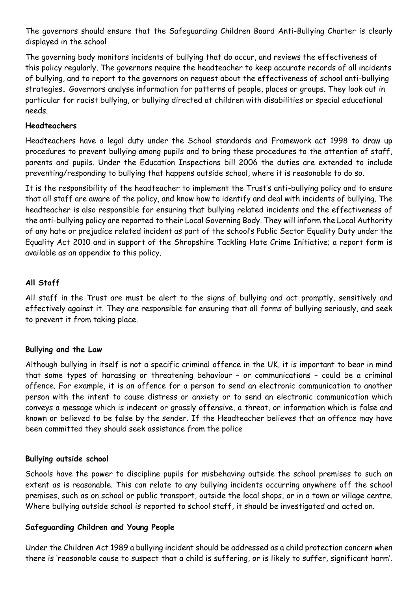The governors should ensure that the Safeguarding Children Board Anti-Bullying Charter is clearly displayed in the school

The governing body monitors incidents of bullying that do occur, and reviews the effectiveness of this policy regularly. The governors require the headteacher to keep accurate records of all incidents of bullying, and to report to the governors on request about the effectiveness of school anti-bullying strategies**.** Governors analyse information for patterns of people, places or groups. They look out in particular for racist bullying, or bullying directed at children with disabilities or special educational needs.

#### **Headteachers**

Headteachers have a legal duty under the School standards and Framework act 1998 to draw up procedures to prevent bullying among pupils and to bring these procedures to the attention of staff, parents and pupils. Under the Education Inspections bill 2006 the duties are extended to include preventing/responding to bullying that happens outside school, where it is reasonable to do so.

It is the responsibility of the headteacher to implement the Trust's anti-bullying policy and to ensure that all staff are aware of the policy, and know how to identify and deal with incidents of bullying. The headteacher is also responsible for ensuring that bullying related incidents and the effectiveness of the anti-bullying policy are reported to their Local Governing Body. They will inform the Local Authority of any hate or prejudice related incident as part of the school's Public Sector Equality Duty under the Equality Act 2010 and in support of the Shropshire Tackling Hate Crime Initiative; a report form is available as an appendix to this policy.

#### **All Staff**

All staff in the Trust are must be alert to the signs of bullying and act promptly, sensitively and effectively against it. They are responsible for ensuring that all forms of bullying seriously, and seek to prevent it from taking place.

#### **Bullying and the Law**

Although bullying in itself is not a specific criminal offence in the UK, it is important to bear in mind that some types of harassing or threatening behaviour – or communications – could be a criminal offence. For example, it is an offence for a person to send an electronic communication to another person with the intent to cause distress or anxiety or to send an electronic communication which conveys a message which is indecent or grossly offensive, a threat, or information which is false and known or believed to be false by the sender. If the Headteacher believes that an offence may have been committed they should seek assistance from the police

#### **Bullying outside school**

Schools have the power to discipline pupils for misbehaving outside the school premises to such an extent as is reasonable. This can relate to any bullying incidents occurring anywhere off the school premises, such as on school or public transport, outside the local shops, or in a town or village centre. Where bullying outside school is reported to school staff, it should be investigated and acted on.

#### **Safeguarding Children and Young People**

Under the Children Act 1989 a bullying incident should be addressed as a child protection concern when there is 'reasonable cause to suspect that a child is suffering, or is likely to suffer, significant harm'.